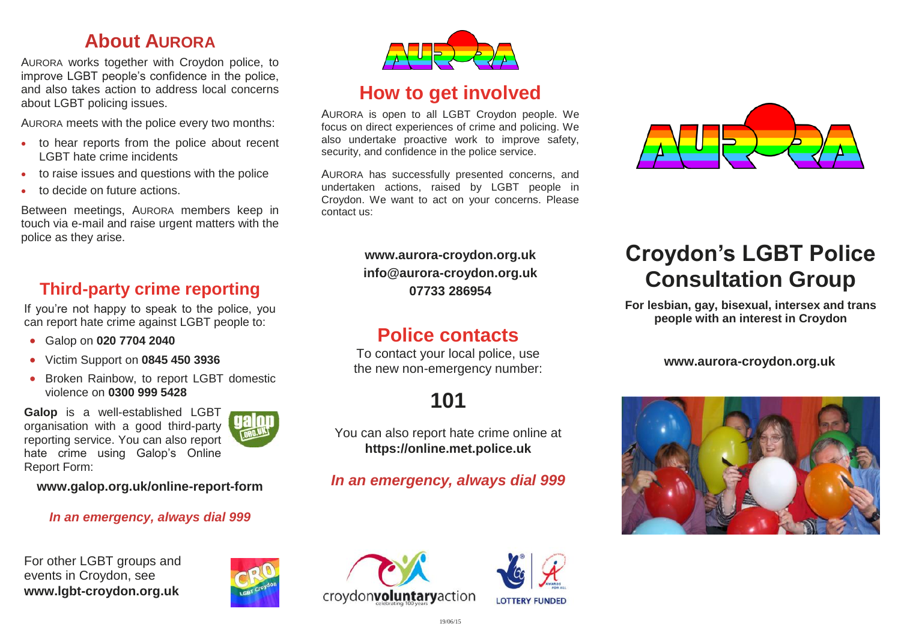#### **About AURORA**

AURORA works together with Croydon police, to improve LGBT people's confidence in the police, and also takes action to address local concerns about LGBT policing issues.

AURORA meets with the police every two months:

- to hear reports from the police about recent LGBT hate crime incidents
- to raise issues and questions with the police
- to decide on future actions.

Between meetings, AURORA members keep in touch via e-mail and raise urgent matters with the police as they arise.

### **Third-party crime reporting**

If you're not happy to speak to the police, you can report hate crime against LGBT people to:

- Galop on **020 7704 2040**
- Victim Support on **0845 450 3936**
- Broken Rainbow, to report LGBT domestic violence on **0300 999 5428**

**Galop** is a well-established LGBT organisation with a good third-party reporting service. You can also report hate crime using Galop's Online Report Form:

**www.galop.org.uk/online-report-form**

#### *In an emergency, always dial 999*

For other LGBT groups and events in Croydon, see **www.lgbt-croydon.org.uk**





## **How to get involved**

AURORA is open to all LGBT Croydon people. We focus on direct experiences of crime and policing. We also undertake proactive work to improve safety, security, and confidence in the police service.

AURORA has successfully presented concerns, and undertaken actions, raised by LGBT people in Croydon. We want to act on your concerns. Please contact us:

> **www.aurora-croydon.org.uk info@aurora-croydon.org.uk 07733 286954**

### **Police contacts**

To contact your local police, use the new non-emergency number:

## **101**

You can also report hate crime online at **https://online.met.police.uk**

#### *In an emergency, always dial 999*







# **Croydon's LGBT Police Consultation Group**

**For lesbian, gay, bisexual, intersex and trans people with an interest in Croydon**

#### **www.aurora-croydon.org.uk**